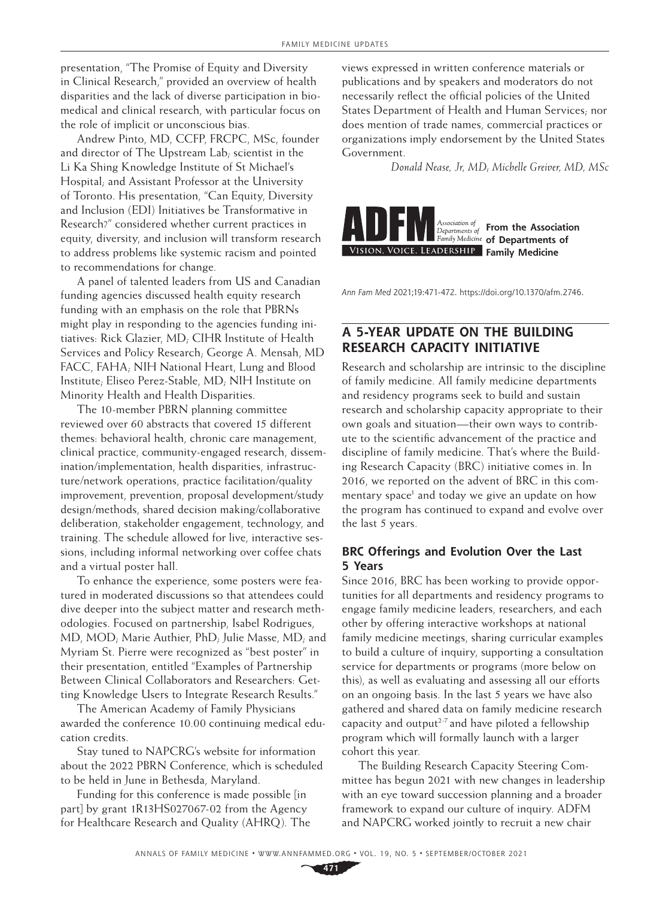presentation, "The Promise of Equity and Diversity in Clinical Research," provided an overview of health disparities and the lack of diverse participation in biomedical and clinical research, with particular focus on the role of implicit or unconscious bias.

Andrew Pinto, MD, CCFP, FRCPC, MSc, founder and director of The Upstream Lab; scientist in the Li Ka Shing Knowledge Institute of St Michael's Hospital; and Assistant Professor at the University of Toronto. His presentation, "Can Equity, Diversity and Inclusion (EDI) Initiatives be Transformative in Research?" considered whether current practices in equity, diversity, and inclusion will transform research to address problems like systemic racism and pointed to recommendations for change.

A panel of talented leaders from US and Canadian funding agencies discussed health equity research funding with an emphasis on the role that PBRNs might play in responding to the agencies funding initiatives: Rick Glazier, MD; CIHR Institute of Health Services and Policy Research; George A. Mensah, MD FACC, FAHA; NIH National Heart, Lung and Blood Institute; Eliseo Perez-Stable, MD; NIH Institute on Minority Health and Health Disparities.

The 10-member PBRN planning committee reviewed over 60 abstracts that covered 15 different themes: behavioral health, chronic care management, clinical practice, community-engaged research, dissemination/implementation, health disparities, infrastructure/network operations, practice facilitation/quality improvement, prevention, proposal development/study design/methods, shared decision making/collaborative deliberation, stakeholder engagement, technology, and training. The schedule allowed for live, interactive sessions, including informal networking over coffee chats and a virtual poster hall.

To enhance the experience, some posters were featured in moderated discussions so that attendees could dive deeper into the subject matter and research methodologies. Focused on partnership, Isabel Rodrigues, MD, MOD; Marie Authier, PhD; Julie Masse, MD; and Myriam St. Pierre were recognized as "best poster" in their presentation, entitled "Examples of Partnership Between Clinical Collaborators and Researchers: Getting Knowledge Users to Integrate Research Results."

The American Academy of Family Physicians awarded the conference 10.00 continuing medical education credits.

Stay tuned to NAPCRG's website for information about the 2022 PBRN Conference, which is scheduled to be held in June in Bethesda, Maryland.

Funding for this conference is made possible [in part] by grant 1R13HS027067-02 from the Agency for Healthcare Research and Quality (AHRQ). The views expressed in written conference materials or publications and by speakers and moderators do not necessarily reflect the official policies of the United States Department of Health and Human Services; nor does mention of trade names, commercial practices or organizations imply endorsement by the United States Government.

*Donald Nease, Jr, MD; Michelle Greiver, MD, MSc*



*Ann Fam Med* 2021;19:471-472. [https://doi.org/10.1370/afm.2746.](https://doi.org/10.1370/afm.2746)

# **A 5-YEAR UPDATE ON THE BUILDING RESEARCH CAPACITY INITIATIVE**

Research and scholarship are intrinsic to the discipline of family medicine. All family medicine departments and residency programs seek to build and sustain research and scholarship capacity appropriate to their own goals and situation—their own ways to contribute to the scientific advancement of the practice and discipline of family medicine. That's where the Building Research Capacity (BRC) initiative comes in. In 2016, we reported on the advent of BRC in this commentary space<sup>1</sup> and today we give an update on how the program has continued to expand and evolve over the last 5 years.

# **BRC Offerings and Evolution Over the Last 5 Years**

Since 2016, BRC has been working to provide opportunities for all departments and residency programs to engage family medicine leaders, researchers, and each other by offering interactive workshops at national family medicine meetings, sharing curricular examples to build a culture of inquiry, supporting a consultation service for departments or programs (more below on this), as well as evaluating and assessing all our efforts on an ongoing basis. In the last 5 years we have also gathered and shared data on family medicine research capacity and output<sup> $2-7$ </sup> and have piloted a fellowship program which will formally launch with a larger cohort this year.

The Building Research Capacity Steering Committee has begun 2021 with new changes in leadership with an eye toward succession planning and a broader framework to expand our culture of inquiry. ADFM and NAPCRG worked jointly to recruit a new chair